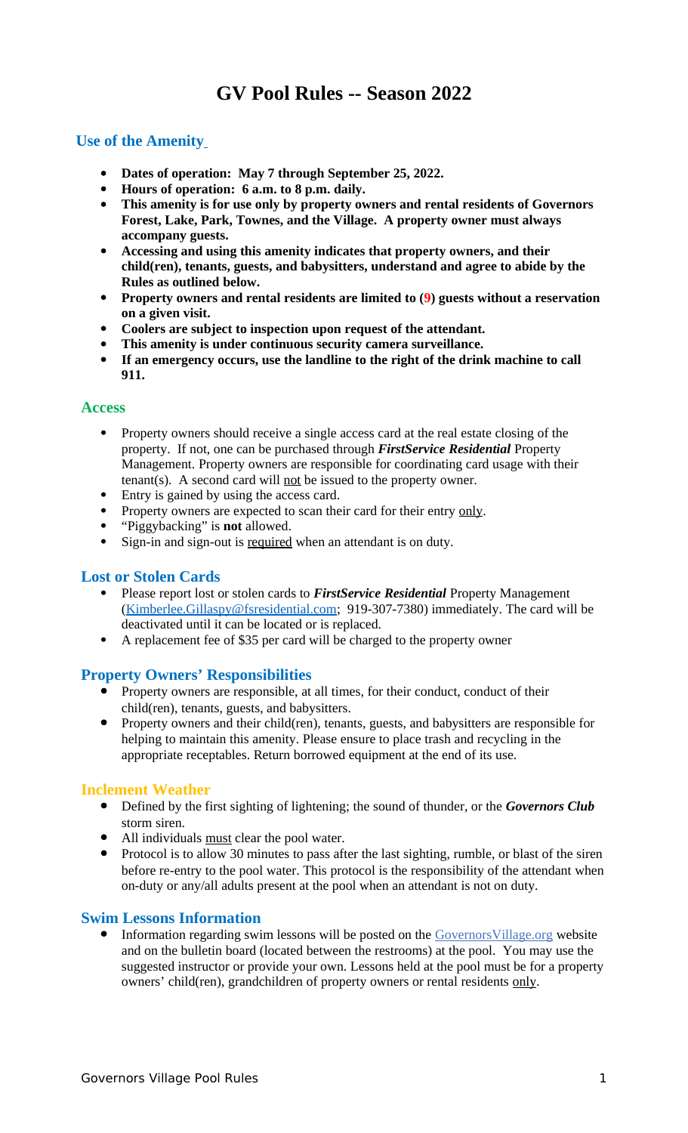# **GV Pool Rules -- Season 2022**

# **Use of the Amenity**

- **Dates of operation: May 7 through September 25, 2022.**
- **Hours of operation: 6 a.m. to 8 p.m. daily.**
- **This amenity is for use only by property owners and rental residents of Governors Forest, Lake, Park, Townes, and the Village. A property owner must always accompany guests.**
- **Accessing and using this amenity indicates that property owners, and their child(ren), tenants, guests, and babysitters, understand and agree to abide by the Rules as outlined below.**
- **Property owners and rental residents are limited to (9) guests without a reservation on a given visit.**
- **Coolers are subject to inspection upon request of the attendant.**
- **This amenity is under continuous security camera surveillance.**
- **If an emergency occurs, use the landline to the right of the drink machine to call 911.**

### **Access**

- Property owners should receive a single access card at the real estate closing of the property. If not, one can be purchased through *FirstService Residential* Property Management. Property owners are responsible for coordinating card usage with their tenant(s). A second card will not be issued to the property owner.
- Entry is gained by using the access card.
- Property owners are expected to scan their card for their entry only.
- "Piggybacking" is **not** allowed.
- Sign-in and sign-out is required when an attendant is on duty.

### **Lost or Stolen Cards**

- Please report lost or stolen cards to *FirstService Residential* Property Management [\(Kimberlee.Gillaspy@fsresidential.com;](mailto:Kimberlee.Gillaspy@fsresidential.com) 919-307-7380) immediately. The card will be deactivated until it can be located or is replaced.
- A replacement fee of \$35 per card will be charged to the property owner

### **Property Owners' Responsibilities**

- Property owners are responsible, at all times, for their conduct, conduct of their child(ren), tenants, guests, and babysitters.
- Property owners and their child(ren), tenants, guests, and babysitters are responsible for helping to maintain this amenity. Please ensure to place trash and recycling in the appropriate receptables. Return borrowed equipment at the end of its use.

### **Inclement Weather**

- Defined by the first sighting of lightening; the sound of thunder, or the *Governors Club* storm siren.
- All individuals must clear the pool water.
- Protocol is to allow 30 minutes to pass after the last sighting, rumble, or blast of the siren before re-entry to the pool water. This protocol is the responsibility of the attendant when on-duty or any/all adults present at the pool when an attendant is not on duty.

### **Swim Lessons Information**

• Information regarding swim lessons will be posted on the **Governors Village.org** website and on the bulletin board (located between the restrooms) at the pool. You may use the suggested instructor or provide your own. Lessons held at the pool must be for a property owners' child(ren), grandchildren of property owners or rental residents only.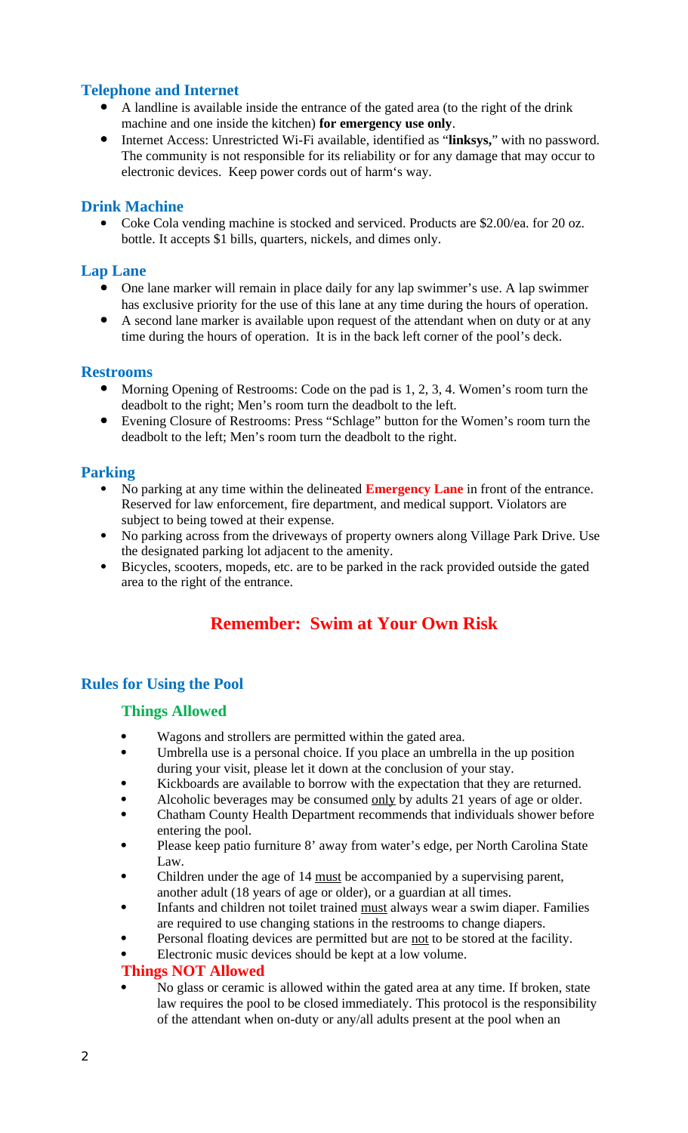# **Telephone and Internet**

- A landline is available inside the entrance of the gated area (to the right of the drink machine and one inside the kitchen) **for emergency use only**.
- Internet Access: Unrestricted Wi-Fi available, identified as "**linksys,**" with no password. The community is not responsible for its reliability or for any damage that may occur to electronic devices. Keep power cords out of harm's way.

### **Drink Machine**

• Coke Cola vending machine is stocked and serviced. Products are \$2.00/ea. for 20 oz. bottle. It accepts \$1 bills, quarters, nickels, and dimes only.

### **Lap Lane**

- One lane marker will remain in place daily for any lap swimmer's use. A lap swimmer has exclusive priority for the use of this lane at any time during the hours of operation.
- A second lane marker is available upon request of the attendant when on duty or at any time during the hours of operation. It is in the back left corner of the pool's deck.

### **Restrooms**

- Morning Opening of Restrooms: Code on the pad is 1, 2, 3, 4. Women's room turn the deadbolt to the right; Men's room turn the deadbolt to the left.
- Evening Closure of Restrooms: Press "Schlage" button for the Women's room turn the deadbolt to the left; Men's room turn the deadbolt to the right.

### **Parking**

- No parking at any time within the delineated **Emergency Lane** in front of the entrance. Reserved for law enforcement, fire department, and medical support. Violators are subject to being towed at their expense.
- No parking across from the driveways of property owners along Village Park Drive. Use the designated parking lot adjacent to the amenity.
- Bicycles, scooters, mopeds, etc. are to be parked in the rack provided outside the gated area to the right of the entrance.

# **Remember: Swim at Your Own Risk**

# **Rules for Using the Pool**

### **Things Allowed**

- Wagons and strollers are permitted within the gated area.
- Umbrella use is a personal choice. If you place an umbrella in the up position during your visit, please let it down at the conclusion of your stay.
- Kickboards are available to borrow with the expectation that they are returned.
- Alcoholic beverages may be consumed only by adults 21 years of age or older.
- Chatham County Health Department recommends that individuals shower before entering the pool.
- Please keep patio furniture 8' away from water's edge, per North Carolina State Law.
- Children under the age of 14 must be accompanied by a supervising parent, another adult (18 years of age or older), or a guardian at all times.
- Infants and children not toilet trained must always wear a swim diaper. Families are required to use changing stations in the restrooms to change diapers.
	- Personal floating devices are permitted but are not to be stored at the facility.
- Electronic music devices should be kept at a low volume.

### **Things NOT Allowed**

 No glass or ceramic is allowed within the gated area at any time. If broken, state law requires the pool to be closed immediately. This protocol is the responsibility of the attendant when on-duty or any/all adults present at the pool when an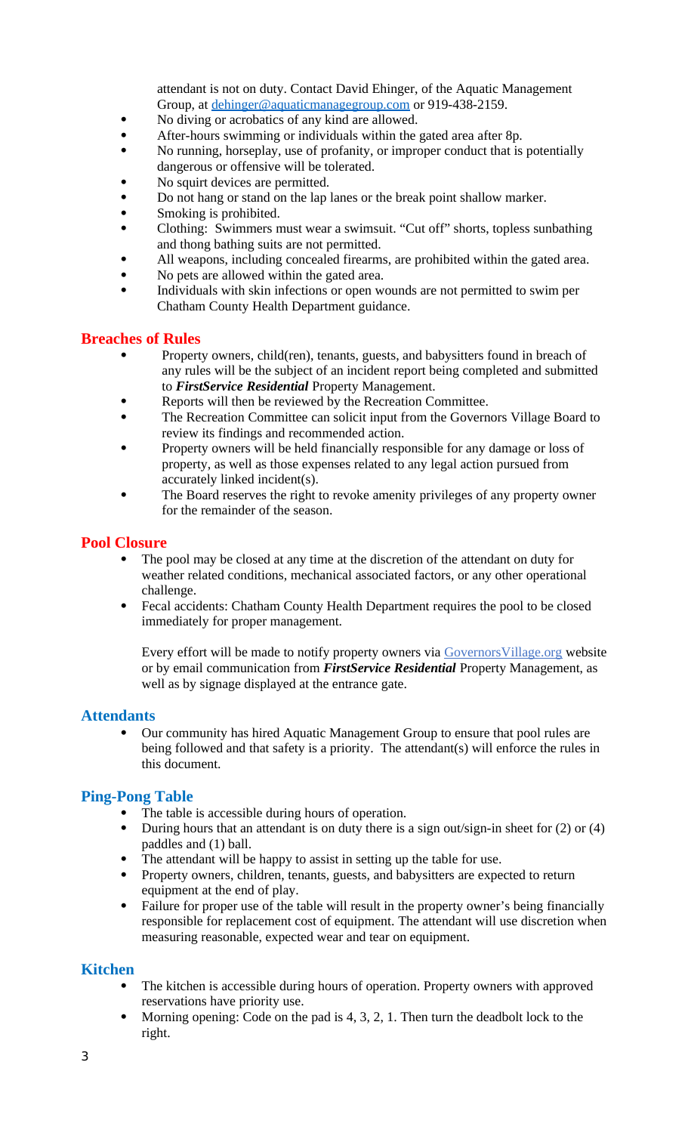attendant is not on duty. Contact David Ehinger, of the Aquatic Management Group, at [dehinger@aquaticmanagegroup.com](mailto:dehinger@aquaticmanagegroup.com) or 919-438-2159.

- No diving or acrobatics of any kind are allowed.
- After-hours swimming or individuals within the gated area after 8p.
- No running, horseplay, use of profanity, or improper conduct that is potentially dangerous or offensive will be tolerated.
- No squirt devices are permitted.
- Do not hang or stand on the lap lanes or the break point shallow marker.
- Smoking is prohibited.
- Clothing: Swimmers must wear a swimsuit. "Cut off" shorts, topless sunbathing and thong bathing suits are not permitted.
- All weapons, including concealed firearms, are prohibited within the gated area.
- No pets are allowed within the gated area.
- Individuals with skin infections or open wounds are not permitted to swim per Chatham County Health Department guidance.

### **Breaches of Rules**

- Property owners, child(ren), tenants, guests, and babysitters found in breach of any rules will be the subject of an incident report being completed and submitted to *FirstService Residential* Property Management.
- Reports will then be reviewed by the Recreation Committee.
- The Recreation Committee can solicit input from the Governors Village Board to review its findings and recommended action.
- Property owners will be held financially responsible for any damage or loss of property, as well as those expenses related to any legal action pursued from accurately linked incident(s).
- The Board reserves the right to revoke amenity privileges of any property owner for the remainder of the season.

#### **Pool Closure**

- The pool may be closed at any time at the discretion of the attendant on duty for weather related conditions, mechanical associated factors, or any other operational challenge.
- Fecal accidents: Chatham County Health Department requires the pool to be closed immediately for proper management.

Every effort will be made to notify property owners via Governors Village.org website or by email communication from *FirstService Residential* Property Management, as well as by signage displayed at the entrance gate.

### **Attendants**

 Our community has hired Aquatic Management Group to ensure that pool rules are being followed and that safety is a priority. The attendant(s) will enforce the rules in this document.

### **Ping-Pong Table**

- The table is accessible during hours of operation.
- During hours that an attendant is on duty there is a sign out/sign-in sheet for (2) or (4) paddles and (1) ball.
- The attendant will be happy to assist in setting up the table for use.
- Property owners, children, tenants, guests, and babysitters are expected to return equipment at the end of play.
- Failure for proper use of the table will result in the property owner's being financially responsible for replacement cost of equipment. The attendant will use discretion when measuring reasonable, expected wear and tear on equipment.

### **Kitchen**

- The kitchen is accessible during hours of operation. Property owners with approved reservations have priority use.
- Morning opening: Code on the pad is 4, 3, 2, 1. Then turn the deadbolt lock to the right.